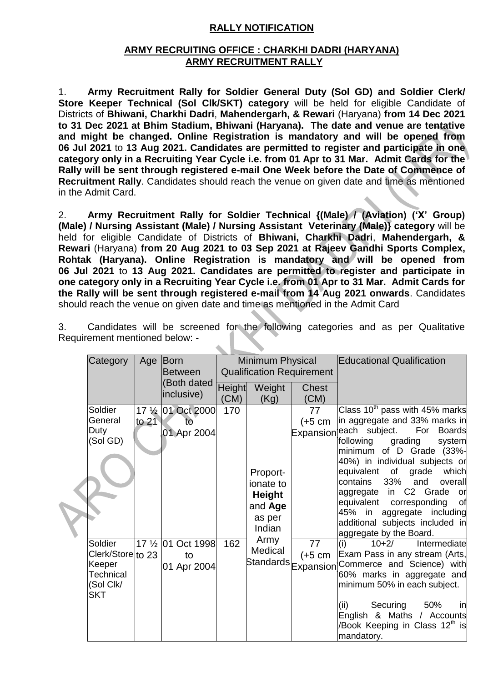# **RALLY NOTIFICATION**

## **ARMY RECRUITING OFFICE : CHARKHI DADRI (HARYANA) ARMY RECRUITMENT RALLY**

1. **Army Recruitment Rally for Soldier General Duty (Sol GD) and Soldier Clerk/ Store Keeper Technical (Sol Clk/SKT) category** will be held for eligible Candidate of Districts of **Bhiwani, Charkhi Dadri**, **Mahendergarh, & Rewari** (Haryana) **from 14 Dec 2021 to 31 Dec 2021 at Bhim Stadium, Bhiwani (Haryana). The date and venue are tentative and might be changed. Online Registration is mandatory and will be opened from 06 Jul 2021** to **13 Aug 2021. Candidates are permitted to register and participate in one category only in a Recruiting Year Cycle i.e. from 01 Apr to 31 Mar. Admit Cards for the Rally will be sent through registered e-mail One Week before the Date of Commence of Recruitment Rally**. Candidates should reach the venue on given date and time as mentioned in the Admit Card.

2. **Army Recruitment Rally for Soldier Technical {(Male) / (Aviation) ('X' Group) (Male) / Nursing Assistant (Male) / Nursing Assistant Veterinary (Male)} category** will be held for eligible Candidate of Districts of **Bhiwani, Charkhi Dadri**, **Mahendergarh, & Rewari** (Haryana) **from 20 Aug 2021 to 03 Sep 2021 at Rajeev Gandhi Sports Complex, Rohtak (Haryana). Online Registration is mandatory and will be opened from 06 Jul 2021** to **13 Aug 2021. Candidates are permitted to register and participate in one category only in a Recruiting Year Cycle i.e. from 01 Apr to 31 Mar. Admit Cards for the Rally will be sent through registered e-mail from 14 Aug 2021 onwards**. Candidates should reach the venue on given date and time as mentioned in the Admit Card

| Category                                                                       |         | Age Born<br><b>Between</b>              | Minimum Physical<br><b>Qualification Requirement</b> |                                                                       |                                      |                                                                                                                                                                                                                                                                                                                                                                                                                                 | <b>Educational Qualification</b> |
|--------------------------------------------------------------------------------|---------|-----------------------------------------|------------------------------------------------------|-----------------------------------------------------------------------|--------------------------------------|---------------------------------------------------------------------------------------------------------------------------------------------------------------------------------------------------------------------------------------------------------------------------------------------------------------------------------------------------------------------------------------------------------------------------------|----------------------------------|
|                                                                                |         | (Both dated<br>inclusive)               | <b>Height</b><br>(CM)                                | Weight<br>(Kg)                                                        | <b>Chest</b><br>(CM)                 |                                                                                                                                                                                                                                                                                                                                                                                                                                 |                                  |
| Soldier<br>General<br>Duty<br>(Sol GD)                                         | to $21$ | 17 1/2 01 Oct 2000<br>to<br>01 Apr 2004 | 170                                                  | Proport-<br>ionate to<br><b>Height</b><br>and Age<br>as per<br>Indian | 77<br>$(+5 \text{ cm})$<br>Expansion | Class $10th$ pass with 45% marks<br>in aggregate and 33% marks in<br>each subject. For Boards<br>grading<br>following<br>system<br>minimum of D Grade (33%-<br>40%) in individual subjects or<br>equivalent of<br>which<br>grade<br>contains<br>33%<br>and<br>overall<br>aggregate in C2 Grade or<br>equivalent corresponding<br>of<br>45% in aggregate including<br>additional subjects included in<br>aggregate by the Board. |                                  |
| Soldier<br>Clerk/Store to 23<br>Keeper<br>Technical<br>(Sol Clk/<br><b>SKT</b> |         | 17 1/2 01 Oct 1998<br>to<br>01 Apr 2004 | 162                                                  | Army<br>Medical<br>Standards Expansion                                | 77<br>(+5 cm                         | Intermediate<br>$10+2/$<br>(i)<br>Exam Pass in any stream (Arts,<br>Commerce and Science) with<br>60% marks in aggregate and<br>minimum 50% in each subject.<br>Securing<br>(ii)<br>50%<br>in<br>English & Maths / Accounts<br>/Book Keeping in Class 12th is<br>mandatory.                                                                                                                                                     |                                  |

3. Candidates will be screened for the following categories and as per Qualitative Requirement mentioned below: -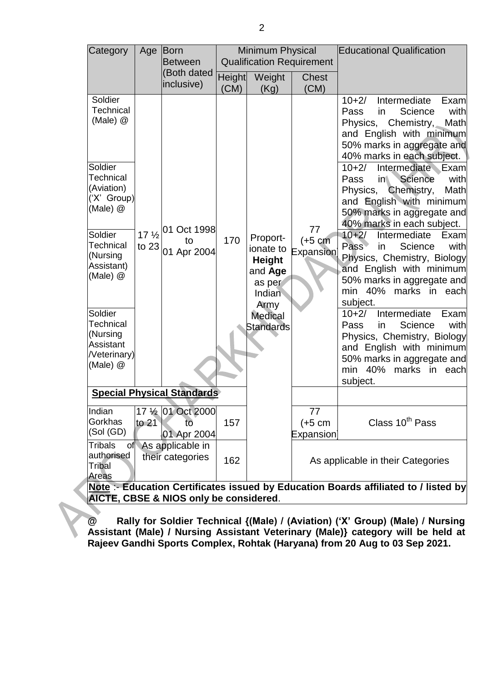| Category                                                                                                                                                                                                                                                                  | Age     | Born<br><b>Between</b>                                                       | <b>Minimum Physical</b><br><b>Qualification Requirement</b> |                                                                                                                     |                              | <b>Educational Qualification</b>                                                                                                                                                                                                                                                                                                                                                                                                                                                                                                                                                                                                                                                                                                                                                                  |
|---------------------------------------------------------------------------------------------------------------------------------------------------------------------------------------------------------------------------------------------------------------------------|---------|------------------------------------------------------------------------------|-------------------------------------------------------------|---------------------------------------------------------------------------------------------------------------------|------------------------------|---------------------------------------------------------------------------------------------------------------------------------------------------------------------------------------------------------------------------------------------------------------------------------------------------------------------------------------------------------------------------------------------------------------------------------------------------------------------------------------------------------------------------------------------------------------------------------------------------------------------------------------------------------------------------------------------------------------------------------------------------------------------------------------------------|
|                                                                                                                                                                                                                                                                           |         | (Both dated<br>inclusive)                                                    | <b>Height</b><br>(CM)                                       | Weight<br>(Kg)                                                                                                      | <b>Chest</b><br>(CM)         |                                                                                                                                                                                                                                                                                                                                                                                                                                                                                                                                                                                                                                                                                                                                                                                                   |
| Soldier<br>Technical<br>(Male) $@$<br>Soldier<br><b>Technical</b><br>(Aviation)<br>('X' Group)<br>(Male) $@$<br>Soldier<br>Technical<br>(Nursing<br>Assistant)<br>(Male) $@$<br>Soldier<br><b>Technical</b><br>(Nursing<br>Assistant<br><b>Neterinary</b> )<br>(Male) $@$ | to $23$ | 17 1/2 01 Oct 1998<br>to<br>01 Apr 2004<br><b>Special Physical Standards</b> | 170                                                         | Proport-<br>ionate to<br><b>Height</b><br>and Age<br>as per<br>Indian<br>Army<br><b>Medical</b><br><b>Standards</b> | 77<br>$(+5 cm)$<br>Expansion | Intermediate<br>$10+2/$<br>Exam<br>Science<br>with<br>Pass<br>in<br>Physics,<br>Chemistry, $\sim$<br>Math<br>and English with minimum<br>50% marks in aggregate and<br>40% marks in each subject.<br>Intermediate Exam<br>$10+2/$<br>Science<br>Pass<br>in<br>with<br>Physics,<br>Chemistry,<br>Math<br>and English with minimum<br>50% marks in aggregate and<br>40% marks in each subject.<br>$10+2/$<br>Intermediate<br>Exam<br>Pass<br>Science<br>with<br>in<br>Physics, Chemistry, Biology<br>and English with minimum<br>50% marks in aggregate and<br>min 40% marks in each<br>subject.<br>Intermediate<br>$10+2/$<br>Examl<br>Science<br>with<br>Pass<br>in<br>Physics, Chemistry, Biology<br>and English with minimum<br>50% marks in aggregate and<br>min 40% marks in each<br>subject. |
| Indian                                                                                                                                                                                                                                                                    |         | 17 1/ <sub>2</sub> 01 Oct 2000                                               |                                                             |                                                                                                                     | 77                           |                                                                                                                                                                                                                                                                                                                                                                                                                                                                                                                                                                                                                                                                                                                                                                                                   |
| Gorkhas<br>(Sol(GD))                                                                                                                                                                                                                                                      | to $21$ | tō<br>01 Apr 2004                                                            | 157                                                         |                                                                                                                     | $(+5 cm)$<br>Expansion       | Class 10 <sup>th</sup> Pass                                                                                                                                                                                                                                                                                                                                                                                                                                                                                                                                                                                                                                                                                                                                                                       |
| <b>Tribals</b><br>of<br>authorised<br>Tribal<br>Areas                                                                                                                                                                                                                     |         | As applicable in<br>their categories                                         | 162                                                         |                                                                                                                     |                              | As applicable in their Categories<br>Note :- Education Certificates issued by Education Boards affiliated to / listed by                                                                                                                                                                                                                                                                                                                                                                                                                                                                                                                                                                                                                                                                          |

**Note** :- **Education Certificates issued by Education Boards affiliated to / listed by AICTE, CBSE & NIOS only be considered**.

**@ Rally for Soldier Technical {(Male) / (Aviation) ('X' Group) (Male) / Nursing Assistant (Male) / Nursing Assistant Veterinary (Male)} category will be held at Rajeev Gandhi Sports Complex, Rohtak (Haryana) from 20 Aug to 03 Sep 2021.**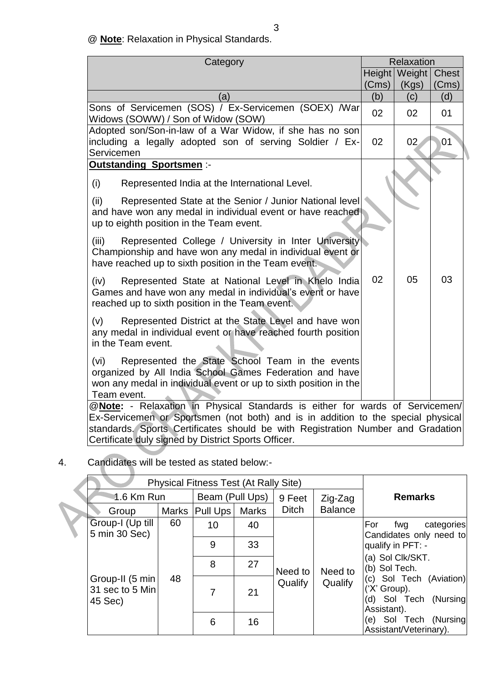@ **Note**: Relaxation in Physical Standards.

| Category                                                                                                                                                                                                                                                                                                   |        | Relaxation |              |  |  |  |
|------------------------------------------------------------------------------------------------------------------------------------------------------------------------------------------------------------------------------------------------------------------------------------------------------------|--------|------------|--------------|--|--|--|
|                                                                                                                                                                                                                                                                                                            | Height | Weight     | <b>Chest</b> |  |  |  |
|                                                                                                                                                                                                                                                                                                            | (Cms)  | (Kgs)      | (Cms)        |  |  |  |
| (a)                                                                                                                                                                                                                                                                                                        | (b)    | (c)        | (d)          |  |  |  |
| Sons of Servicemen (SOS) / Ex-Servicemen (SOEX) / War<br>Widows (SOWW) / Son of Widow (SOW)                                                                                                                                                                                                                | 02     | 02         | 01           |  |  |  |
| Adopted son/Son-in-law of a War Widow, if she has no son                                                                                                                                                                                                                                                   |        |            |              |  |  |  |
| including a legally adopted son of serving Soldier / Ex-<br>Servicemen                                                                                                                                                                                                                                     | 02     | 02         | 01           |  |  |  |
| <b>Outstanding Sportsmen:-</b>                                                                                                                                                                                                                                                                             |        |            |              |  |  |  |
| (i)<br>Represented India at the International Level.                                                                                                                                                                                                                                                       |        |            |              |  |  |  |
| Represented State at the Senior / Junior National level<br>(ii)<br>and have won any medal in individual event or have reached<br>up to eighth position in the Team event.                                                                                                                                  |        |            |              |  |  |  |
| Represented College / University in Inter University<br>(iii)<br>Championship and have won any medal in individual event or<br>have reached up to sixth position in the Team event.                                                                                                                        |        |            |              |  |  |  |
| Represented State at National Level in Khelo India<br>(iv)<br>Games and have won any medal in individual's event or have<br>reached up to sixth position in the Team event.                                                                                                                                | 02     | 05         | 03           |  |  |  |
| (v)<br>Represented District at the State Level and have won<br>any medal in individual event or have reached fourth position<br>in the Team event.                                                                                                                                                         |        |            |              |  |  |  |
| Represented the State School Team in the events<br>(vi)<br>organized by All India School Games Federation and have<br>won any medal in individual event or up to sixth position in the<br>Team event.                                                                                                      |        |            |              |  |  |  |
| @Note: - Relaxation in Physical Standards is either for wards of Servicemen/<br>Ex-Servicemen or Sportsmen (not both) and is in addition to the special physical<br>standards. Sports Certificates should be with Registration Number and Gradation<br>Certificate duly signed by District Sports Officer. |        |            |              |  |  |  |

# 4. Candidates will be tested as stated below:-

| <b>Physical Fitness Test (At Rally Site)</b>  |                 |                          |               |              |                                   |                                                                                 |  |
|-----------------------------------------------|-----------------|--------------------------|---------------|--------------|-----------------------------------|---------------------------------------------------------------------------------|--|
| 1.6 Km Run                                    | Beam (Pull Ups) |                          | 9 Feet        | Zig-Zag      | <b>Remarks</b>                    |                                                                                 |  |
| Group                                         | Marks           | Pull Ups<br><b>Marks</b> |               | <b>Ditch</b> | <b>Balance</b>                    |                                                                                 |  |
| Group-I (Up till<br>5 min 30 Sec)             | 60              | 10                       | 40            |              |                                   | For<br>categories<br>fwg<br>Candidates only need to                             |  |
|                                               |                 | 9                        | 33            |              |                                   | qualify in PFT: -                                                               |  |
|                                               | 48              | 8                        | 27<br>Need to | Need to      | (a) Sol Clk/SKT.<br>(b) Sol Tech. |                                                                                 |  |
| Group-II (5 min<br>31 sec to 5 Min<br>45 Sec) |                 | 7                        | 21            | Qualify      | Qualify                           | (c) Sol Tech (Aviation)<br>('X' Group).<br>(d) Sol Tech (Nursing<br>Assistant). |  |
|                                               |                 | 6                        | 16            |              |                                   | (e) Sol Tech (Nursing<br>Assistant/Veterinary).                                 |  |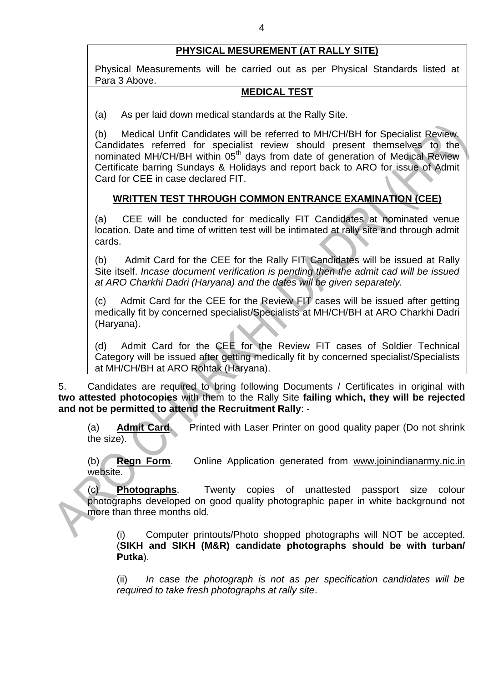# **PHYSICAL MESUREMENT (AT RALLY SITE)**

Physical Measurements will be carried out as per Physical Standards listed at Para 3 Above.

#### **MEDICAL TEST**

(a) As per laid down medical standards at the Rally Site.

(b) Medical Unfit Candidates will be referred to MH/CH/BH for Specialist Review. Candidates referred for specialist review should present themselves to the nominated MH/CH/BH within 05<sup>th</sup> days from date of generation of Medical Review Certificate barring Sundays & Holidays and report back to ARO for issue of Admit Card for CEE in case declared FIT.

# **WRITTEN TEST THROUGH COMMON ENTRANCE EXAMINATION (CEE)**

(a) CEE will be conducted for medically FIT Candidates at nominated venue location. Date and time of written test will be intimated at rally site and through admit cards.

(b) Admit Card for the CEE for the Rally FIT Candidates will be issued at Rally Site itself. *Incase document verification is pending then the admit cad will be issued at ARO Charkhi Dadri (Haryana) and the dates will be given separately.*

(c) Admit Card for the CEE for the Review FIT cases will be issued after getting medically fit by concerned specialist/Specialists at MH/CH/BH at ARO Charkhi Dadri (Haryana).

(d) Admit Card for the CEE for the Review FIT cases of Soldier Technical Category will be issued after getting medically fit by concerned specialist/Specialists at MH/CH/BH at ARO Rohtak (Haryana).

5. Candidates are required to bring following Documents / Certificates in original with **two attested photocopies** with them to the Rally Site **failing which, they will be rejected and not be permitted to attend the Recruitment Rally**: -

(a) **Admit Card**. Printed with Laser Printer on good quality paper (Do not shrink the size).

(b) **Regn Form**. Online Application generated from [www.joinindianarmy.nic.in](http://www.joinindianarmy.nic.in/) website.

(c) **Photographs**. Twenty copies of unattested passport size colour photographs developed on good quality photographic paper in white background not more than three months old.

(i) Computer printouts/Photo shopped photographs will NOT be accepted. (**SIKH and SIKH (M&R) candidate photographs should be with turban/ Putka**).

(ii) *In case the photograph is not as per specification candidates will be required to take fresh photographs at rally site*.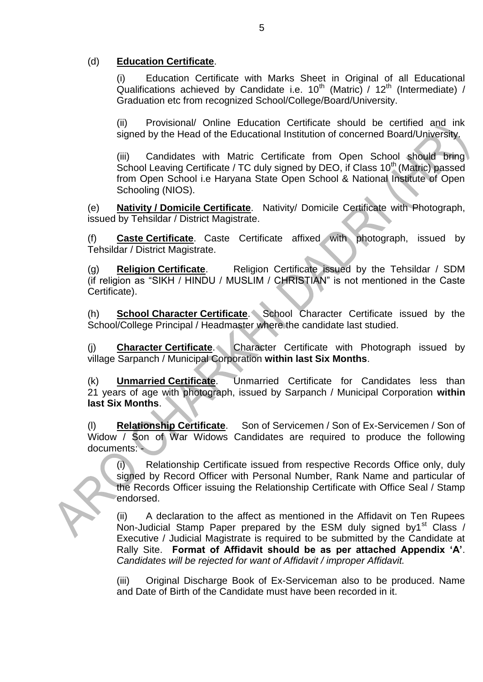### (d) **Education Certificate**.

(i) Education Certificate with Marks Sheet in Original of all Educational Qualifications achieved by Candidate i.e.  $10^{th}$  (Matric) /  $12^{th}$  (Intermediate) / Graduation etc from recognized School/College/Board/University.

(ii) Provisional/ Online Education Certificate should be certified and ink signed by the Head of the Educational Institution of concerned Board/University.

(iii) Candidates with Matric Certificate from Open School should bring School Leaving Certificate / TC duly signed by DEO, if Class 10<sup>th</sup> (Matric) passed from Open School i.e Haryana State Open School & National Institute of Open Schooling (NIOS).

(e) **Nativity / Domicile Certificate**. Nativity/ Domicile Certificate with Photograph, issued by Tehsildar / District Magistrate.

(f) **Caste Certificate**. Caste Certificate affixed with photograph, issued by Tehsildar / District Magistrate.

(g) **Religion Certificate**. Religion Certificate issued by the Tehsildar / SDM (if religion as "SIKH / HINDU / MUSLIM / CHRISTIAN" is not mentioned in the Caste Certificate).

(h) **School Character Certificate**. School Character Certificate issued by the School/College Principal / Headmaster where the candidate last studied.

(j) **Character Certificate**. Character Certificate with Photograph issued by village Sarpanch / Municipal Corporation **within last Six Months**.

(k) **Unmarried Certificate**. Unmarried Certificate for Candidates less than 21 years of age with photograph, issued by Sarpanch / Municipal Corporation **within last Six Months**.

(l) **Relationship Certificate**. Son of Servicemen / Son of Ex-Servicemen / Son of Widow / Son of War Widows Candidates are required to produce the following documents: -

(i) Relationship Certificate issued from respective Records Office only, duly signed by Record Officer with Personal Number, Rank Name and particular of the Records Officer issuing the Relationship Certificate with Office Seal / Stamp endorsed.

(ii) A declaration to the affect as mentioned in the Affidavit on Ten Rupees Non-Judicial Stamp Paper prepared by the ESM duly signed by1<sup>st</sup> Class / Executive / Judicial Magistrate is required to be submitted by the Candidate at Rally Site. **Format of Affidavit should be as per attached Appendix 'A'**. *Candidates will be rejected for want of Affidavit / improper Affidavit.*

(iii) Original Discharge Book of Ex-Serviceman also to be produced. Name and Date of Birth of the Candidate must have been recorded in it.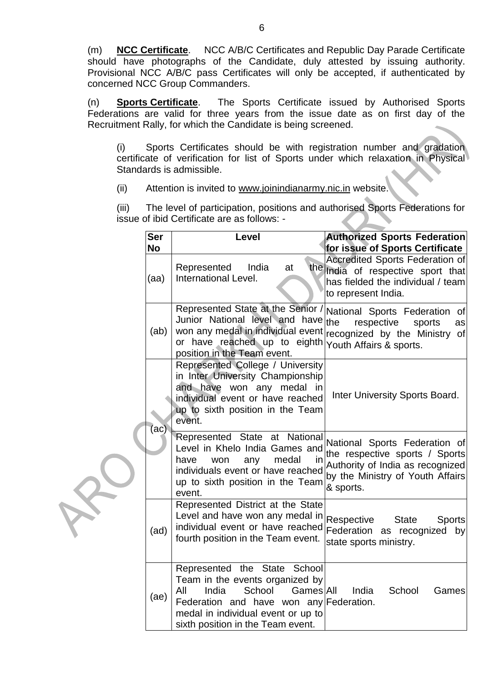(m) **NCC Certificate**. NCC A/B/C Certificates and Republic Day Parade Certificate should have photographs of the Candidate, duly attested by issuing authority. Provisional NCC A/B/C pass Certificates will only be accepted, if authenticated by concerned NCC Group Commanders.

(n) **Sports Certificate**. The Sports Certificate issued by Authorised Sports Federations are valid for three years from the issue date as on first day of the Recruitment Rally, for which the Candidate is being screened.

(i) Sports Certificates should be with registration number and gradation certificate of verification for list of Sports under which relaxation in Physical Standards is admissible.

(ii) Attention is invited to [www.joinindianarmy.nic.in](http://www.joinindianarmy.nic.in/) website.

(iii) The level of participation, positions and authorised Sports Federations for issue of ibid Certificate are as follows: -

|  | Ser<br><b>No</b> | Level                                                                                                                                                                                                                        | <b>Authorized Sports Federation</b><br>for issue of Sports Certificate                                                                               |
|--|------------------|------------------------------------------------------------------------------------------------------------------------------------------------------------------------------------------------------------------------------|------------------------------------------------------------------------------------------------------------------------------------------------------|
|  | (aa)             | India<br>Represented<br>at<br>International Level.                                                                                                                                                                           | <b>Accredited Sports Federation of</b><br>the India of respective sport that<br>has fielded the individual / team<br>to represent India.             |
|  | (ab)             | Represented State at the Senior<br>Junior National level and have<br>won any medal in individual event recognized by the Ministry<br>or have reached up to eighth<br>position in the Team event.                             | National Sports Federation<br>0f<br>the<br>respective<br>sports<br>as<br>of<br>Youth Affairs & sports.                                               |
|  | (ac)             | Represented College / University<br>in Inter University Championship<br>and have won any medal in<br>individual event or have reached<br>up to sixth position in the Team<br>event.                                          | Inter University Sports Board.                                                                                                                       |
|  |                  | Represented State at National<br>Level in Khelo India Games and<br>medal<br>have<br>any<br>won<br>ın<br>individuals event or have reached<br>up to sixth position in the Team<br>event.                                      | National Sports Federation of<br>the respective sports / Sports<br>Authority of India as recognized<br>by the Ministry of Youth Affairs<br>& sports. |
|  | (ad)             | Represented District at the State<br>Level and have won any medal in<br>individual event or have reached<br>fourth position in the Team event.                                                                               | Respective<br><b>State</b><br><b>Sports</b><br>Federation as recognized by<br>state sports ministry.                                                 |
|  | (ae)             | Represented the State School<br>Team in the events organized by<br>All<br>India<br>School<br>Games All<br>Federation and have won any Federation.<br>medal in individual event or up to<br>sixth position in the Team event. | India<br>School<br>Games                                                                                                                             |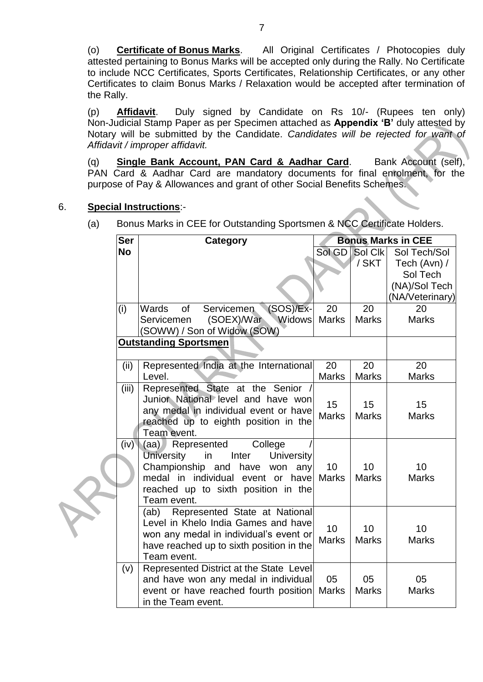(o) **Certificate of Bonus Marks**. All Original Certificates / Photocopies duly attested pertaining to Bonus Marks will be accepted only during the Rally. No Certificate to include NCC Certificates, Sports Certificates, Relationship Certificates, or any other Certificates to claim Bonus Marks / Relaxation would be accepted after termination of the Rally.

(p) **Affidavit**. Duly signed by Candidate on Rs 10/- (Rupees ten only) Non-Judicial Stamp Paper as per Specimen attached as **Appendix 'B'** duly attested by Notary will be submitted by the Candidate. *Candidates will be rejected for want of Affidavit / improper affidavit.*

(q) **Single Bank Account, PAN Card & Aadhar Card**. Bank Account (self), PAN Card & Aadhar Card are mandatory documents for final enrolment, for the purpose of Pay & Allowances and grant of other Social Benefits Schemes.

### 6. **Special Instructions**:-

(a) Bonus Marks in CEE for Outstanding Sportsmen & NCC Certificate Holders.

| <b>Ser</b> | <b>Category</b><br><b>Bonus Marks in CEE</b>                             |              |                |                    |
|------------|--------------------------------------------------------------------------|--------------|----------------|--------------------|
| <b>No</b>  |                                                                          |              | Sol GD Sol Clk | Sol Tech/Sol       |
|            |                                                                          |              | / SKT          | Tech (Avn) /       |
|            |                                                                          |              |                | Sol Tech           |
|            |                                                                          |              |                | (NA)/Sol Tech      |
|            |                                                                          |              |                | (NA/Veterinary)    |
| (i)        | $(SOS)/Ex$ -<br>Wards<br>of<br>Servicemen                                | 20           | 20             | 20                 |
|            | <b>Widows</b><br>(SOEX)/War<br>Servicemen<br>(SOWW) / Son of Widow (SOW) | <b>Marks</b> | <b>Marks</b>   | <b>Marks</b>       |
|            | <b>Outstanding Sportsmen</b>                                             |              |                |                    |
|            |                                                                          |              |                |                    |
| (ii)       | Represented India at the International                                   | 20           | 20             | 20                 |
|            | Level.                                                                   | <b>Marks</b> | <b>Marks</b>   | <b>Marks</b>       |
| (iii)      | Represented State at the Senior /                                        |              |                |                    |
|            | Junior National level and have won                                       | 15           | 15             | 15                 |
|            | any medal in individual event or have                                    | <b>Marks</b> | <b>Marks</b>   | <b>Marks</b>       |
|            | reached up to eighth position in the                                     |              |                |                    |
|            | Team event.                                                              |              |                |                    |
| (iv)       | $(aa)$ )<br>Represented<br>College                                       |              |                |                    |
|            | <b>University</b><br>in<br>Inter<br><b>University</b>                    |              |                |                    |
|            | Championship and have<br>won any<br>medal in individual event or have    | 10           | 10             | 10<br><b>Marks</b> |
|            | reached up to sixth position in the                                      | <b>Marks</b> | <b>Marks</b>   |                    |
|            | Team event.                                                              |              |                |                    |
|            | Represented State at National<br>(ab)                                    |              |                |                    |
|            | Level in Khelo India Games and have                                      |              |                |                    |
|            | won any medal in individual's event or                                   | 10           | 10             | 10                 |
|            | have reached up to sixth position in the                                 | <b>Marks</b> | <b>Marks</b>   | <b>Marks</b>       |
|            | Team event.                                                              |              |                |                    |
| (v)        | Represented District at the State Level                                  |              |                |                    |
|            | and have won any medal in individual                                     | 05           | 05             | 05                 |
|            | event or have reached fourth position                                    | <b>Marks</b> | <b>Marks</b>   | <b>Marks</b>       |
|            | in the Team event.                                                       |              |                |                    |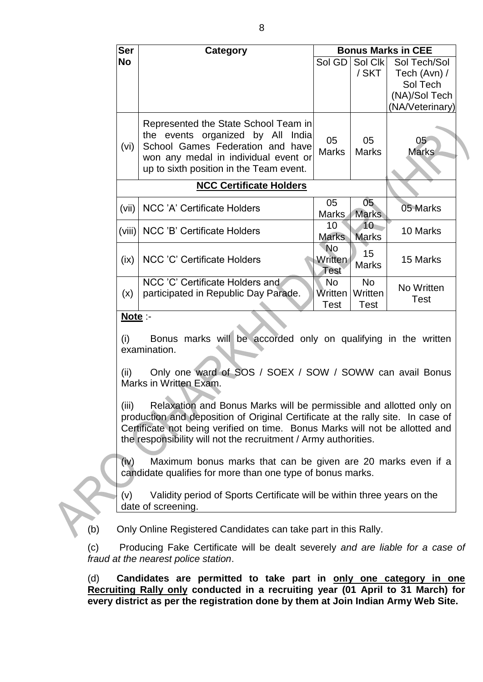| <b>Ser</b> | Category                                                                                                                                                                                         | <b>Bonus Marks in CEE</b>     |                                     |                                 |  |  |  |
|------------|--------------------------------------------------------------------------------------------------------------------------------------------------------------------------------------------------|-------------------------------|-------------------------------------|---------------------------------|--|--|--|
| <b>No</b>  |                                                                                                                                                                                                  |                               | Sol Clk                             | Sol Tech/Sol                    |  |  |  |
|            |                                                                                                                                                                                                  |                               | / SKT                               | Tech (Avn) /                    |  |  |  |
|            |                                                                                                                                                                                                  |                               |                                     | Sol Tech                        |  |  |  |
|            |                                                                                                                                                                                                  |                               |                                     | (NA)/Sol Tech                   |  |  |  |
|            |                                                                                                                                                                                                  |                               |                                     | (NA/Veterinary)                 |  |  |  |
| (vi)       | Represented the State School Team in<br>the events organized by All India<br>School Games Federation and have<br>won any medal in individual event or<br>up to sixth position in the Team event. | 05<br><b>Marks</b>            | 05<br><b>Marks</b>                  | 05 <sub>1</sub><br><b>Marks</b> |  |  |  |
|            | <b>NCC Certificate Holders</b>                                                                                                                                                                   |                               |                                     |                                 |  |  |  |
| (vii)      | <b>NCC 'A' Certificate Holders</b>                                                                                                                                                               | 05<br><b>Marks</b>            | 05 <sub>1</sub><br><b>Marks</b>     | 05 Marks                        |  |  |  |
| (viii)     | NCC 'B' Certificate Holders                                                                                                                                                                      | 10<br><b>Marks</b>            | $10-$<br><b>Marks</b>               | 10 Marks                        |  |  |  |
| (ix)       | <b>NCC 'C' Certificate Holders</b>                                                                                                                                                               | No<br>Written<br>Test         | 15<br><b>Marks</b>                  | 15 Marks                        |  |  |  |
| (x)        | NCC 'C' Certificate Holders and<br>participated in Republic Day Parade.                                                                                                                          | No.<br>Written<br><b>Test</b> | <b>No</b><br>Written<br><b>Test</b> | No Written<br><b>Test</b>       |  |  |  |

### **Note** :-

(i) Bonus marks will be accorded only on qualifying in the written examination.

(ii) Only one ward of SOS / SOEX / SOW / SOWW can avail Bonus Marks in Written Exam.

(iii) Relaxation and Bonus Marks will be permissible and allotted only on production and deposition of Original Certificate at the rally site. In case of Certificate not being verified on time. Bonus Marks will not be allotted and the responsibility will not the recruitment / Army authorities.

(iv) Maximum bonus marks that can be given are 20 marks even if a candidate qualifies for more than one type of bonus marks.

(v) Validity period of Sports Certificate will be within three years on the date of screening.

(b) Only Online Registered Candidates can take part in this Rally.

(c) Producing Fake Certificate will be dealt severely *and are liable for a case of fraud at the nearest police station*.

(d) **Candidates are permitted to take part in only one category in one Recruiting Rally only conducted in a recruiting year (01 April to 31 March) for every district as per the registration done by them at Join Indian Army Web Site.**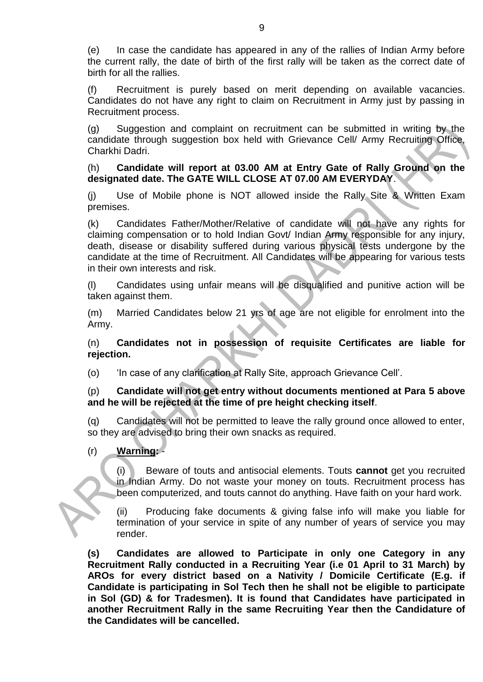(e) In case the candidate has appeared in any of the rallies of Indian Army before the current rally, the date of birth of the first rally will be taken as the correct date of birth for all the rallies.

(f) Recruitment is purely based on merit depending on available vacancies. Candidates do not have any right to claim on Recruitment in Army just by passing in Recruitment process.

(g) Suggestion and complaint on recruitment can be submitted in writing by the candidate through suggestion box held with Grievance Cell/ Army Recruiting Office, Charkhi Dadri.

#### (h) **Candidate will report at 03.00 AM at Entry Gate of Rally Ground on the designated date. The GATE WILL CLOSE AT 07.00 AM EVERYDAY**.

(j) Use of Mobile phone is NOT allowed inside the Rally Site & Written Exam premises.

(k) Candidates Father/Mother/Relative of candidate will not have any rights for claiming compensation or to hold Indian Govt/ Indian Army responsible for any injury, death, disease or disability suffered during various physical tests undergone by the candidate at the time of Recruitment. All Candidates will be appearing for various tests in their own interests and risk.

(l) Candidates using unfair means will be disqualified and punitive action will be taken against them.

(m) Married Candidates below 21 yrs of age are not eligible for enrolment into the Army.

(n) **Candidates not in possession of requisite Certificates are liable for rejection.**

(o) "In case of any clarification at Rally Site, approach Grievance Cell".

#### (p) **Candidate will not get entry without documents mentioned at Para 5 above and he will be rejected at the time of pre height checking itself**.

(q) Candidates will not be permitted to leave the rally ground once allowed to enter, so they are advised to bring their own snacks as required.

# (r) **Warning:** -

(i) Beware of touts and antisocial elements. Touts **cannot** get you recruited in Indian Army. Do not waste your money on touts. Recruitment process has been computerized, and touts cannot do anything. Have faith on your hard work.

(ii) Producing fake documents & giving false info will make you liable for termination of your service in spite of any number of years of service you may render.

**(s) Candidates are allowed to Participate in only one Category in any Recruitment Rally conducted in a Recruiting Year (i.e 01 April to 31 March) by AROs for every district based on a Nativity / Domicile Certificate (E.g. if Candidate is participating in Sol Tech then he shall not be eligible to participate in Sol (GD) & for Tradesmen). It is found that Candidates have participated in another Recruitment Rally in the same Recruiting Year then the Candidature of the Candidates will be cancelled.**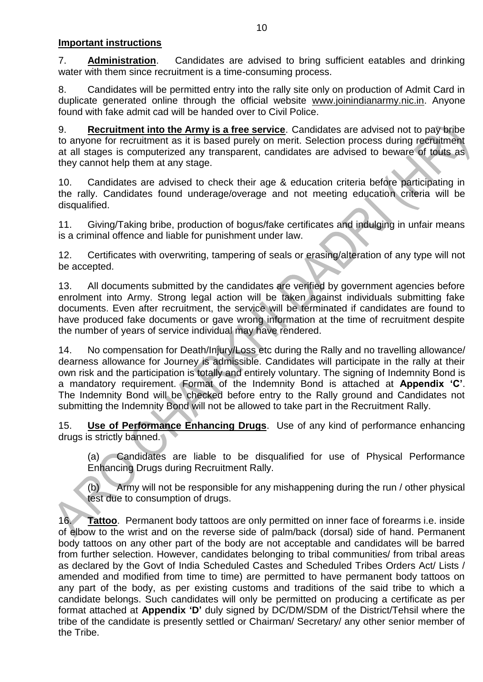#### **Important instructions**

7. **Administration**. Candidates are advised to bring sufficient eatables and drinking water with them since recruitment is a time-consuming process.

8. Candidates will be permitted entry into the rally site only on production of Admit Card in duplicate generated online through the official website [www.joinindianarmy.nic.in.](http://www.joinindianarmy.nic.in/) Anyone found with fake admit cad will be handed over to Civil Police.

9. **Recruitment into the Army is a free service**. Candidates are advised not to pay bribe to anyone for recruitment as it is based purely on merit. Selection process during recruitment at all stages is computerized any transparent, candidates are advised to beware of touts as they cannot help them at any stage.

10. Candidates are advised to check their age & education criteria before participating in the rally. Candidates found underage/overage and not meeting education criteria will be disqualified.

11. Giving/Taking bribe, production of bogus/fake certificates and indulging in unfair means is a criminal offence and liable for punishment under law.

12. Certificates with overwriting, tampering of seals or erasing/alteration of any type will not be accepted.

13. All documents submitted by the candidates are verified by government agencies before enrolment into Army. Strong legal action will be taken against individuals submitting fake documents. Even after recruitment, the service will be terminated if candidates are found to have produced fake documents or gave wrong information at the time of recruitment despite the number of years of service individual may have rendered.

14. No compensation for Death/Injury/Loss etc during the Rally and no travelling allowance/ dearness allowance for Journey is admissible. Candidates will participate in the rally at their own risk and the participation is totally and entirely voluntary. The signing of Indemnity Bond is a mandatory requirement. Format of the Indemnity Bond is attached at **Appendix 'C'**. The Indemnity Bond will be checked before entry to the Rally ground and Candidates not submitting the Indemnity Bond will not be allowed to take part in the Recruitment Rally.

15. **Use of Performance Enhancing Drugs**. Use of any kind of performance enhancing drugs is strictly banned.

(a) Candidates are liable to be disqualified for use of Physical Performance Enhancing Drugs during Recruitment Rally.

(b) Army will not be responsible for any mishappening during the run / other physical test due to consumption of drugs.

16. **Tattoo**. Permanent body tattoos are only permitted on inner face of forearms i.e. inside of elbow to the wrist and on the reverse side of palm/back (dorsal) side of hand. Permanent body tattoos on any other part of the body are not acceptable and candidates will be barred from further selection. However, candidates belonging to tribal communities/ from tribal areas as declared by the Govt of India Scheduled Castes and Scheduled Tribes Orders Act/ Lists / amended and modified from time to time) are permitted to have permanent body tattoos on any part of the body, as per existing customs and traditions of the said tribe to which a candidate belongs. Such candidates will only be permitted on producing a certificate as per format attached at **Appendix 'D'** duly signed by DC/DM/SDM of the District/Tehsil where the tribe of the candidate is presently settled or Chairman/ Secretary/ any other senior member of the Tribe.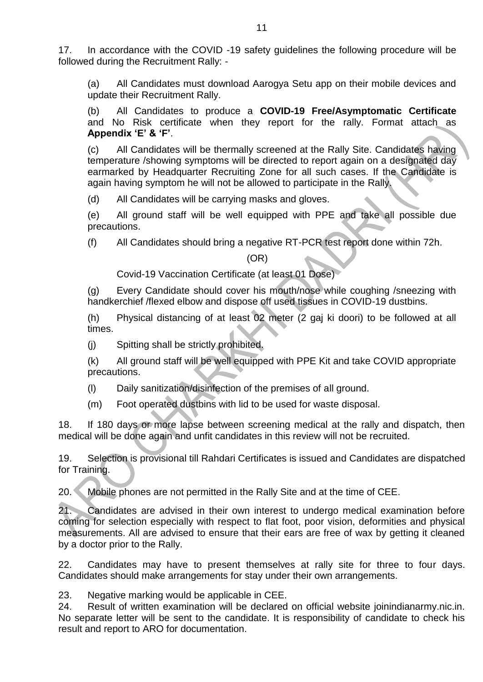17. In accordance with the COVID -19 safety guidelines the following procedure will be followed during the Recruitment Rally: -

(a) All Candidates must download Aarogya Setu app on their mobile devices and update their Recruitment Rally.

(b) All Candidates to produce a **COVID-19 Free/Asymptomatic Certificate**  and No Risk certificate when they report for the rally. Format attach as **Appendix 'E' & 'F'**.

(c) All Candidates will be thermally screened at the Rally Site. Candidates having temperature /showing symptoms will be directed to report again on a designated day earmarked by Headquarter Recruiting Zone for all such cases. If the Candidate is again having symptom he will not be allowed to participate in the Rally.

(d) All Candidates will be carrying masks and gloves.

(e) All ground staff will be well equipped with PPE and take all possible due precautions.

(f) All Candidates should bring a negative RT-PCR test report done within 72h.

#### (OR)

Covid-19 Vaccination Certificate (at least 01 Dose)

(g) Every Candidate should cover his mouth/nose while coughing /sneezing with handkerchief /flexed elbow and dispose off used tissues in COVID-19 dustbins.

(h) Physical distancing of at least 02 meter (2 gaj ki doori) to be followed at all times.

(j) Spitting shall be strictly prohibited.

(k) All ground staff will be well equipped with PPE Kit and take COVID appropriate precautions.

- (l) Daily sanitization/disinfection of the premises of all ground.
- (m) Foot operated dustbins with lid to be used for waste disposal.

18. If 180 days or more lapse between screening medical at the rally and dispatch, then medical will be done again and unfit candidates in this review will not be recruited.

19. Selection is provisional till Rahdari Certificates is issued and Candidates are dispatched for Training.

20. Mobile phones are not permitted in the Rally Site and at the time of CEE.

21. Candidates are advised in their own interest to undergo medical examination before coming for selection especially with respect to flat foot, poor vision, deformities and physical measurements. All are advised to ensure that their ears are free of wax by getting it cleaned by a doctor prior to the Rally.

22. Candidates may have to present themselves at rally site for three to four days. Candidates should make arrangements for stay under their own arrangements.

23. Negative marking would be applicable in CEE.

24. Result of written examination will be declared on official website joinindianarmy.nic.in. No separate letter will be sent to the candidate. It is responsibility of candidate to check his result and report to ARO for documentation.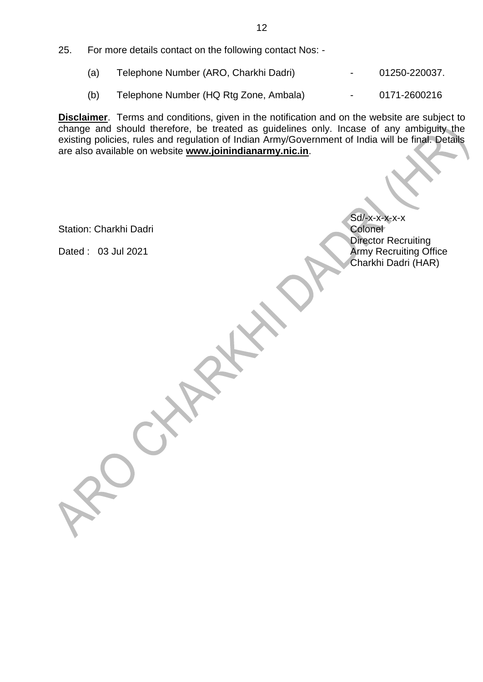- (a) Telephone Number (ARO, Charkhi Dadri) 01250-220037.
- (b) Telephone Number (HQ Rtg Zone, Ambala) 0171-2600216

**Disclaimer**. Terms and conditions, given in the notification and on the website are subject to change and should therefore, be treated as guidelines only. Incase of any ambiguity the existing policies, rules and regulation of Indian Army/Government of India will be final. Details are also available on website **[www.joinindianarmy.nic.in](http://www.joinindianarmy.nic.in/)**.

Station: Charkhi Dadri

Sd/-x-x-x-x-x<br>Colonel Director Recruiting Dated : 03 Jul 2021 **Army Recruiting Office** Charkhi Dadri (HAR)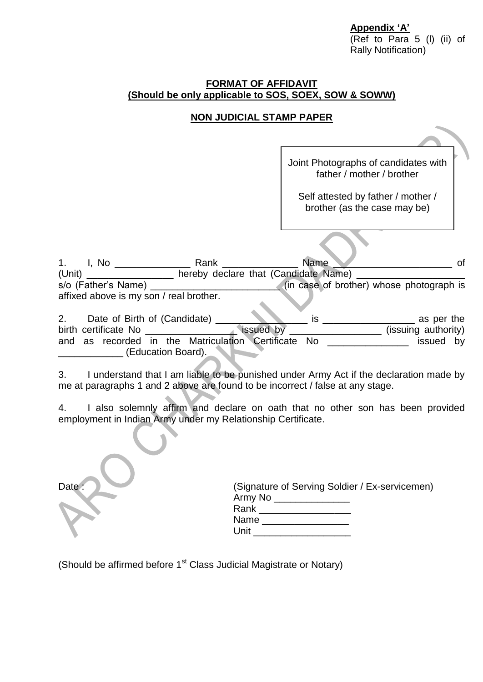**Appendix 'A'** (Ref to Para 5 (l) (ii) of Rally Notification)

#### **FORMAT OF AFFIDAVIT (Should be only applicable to SOS, SOEX, SOW & SOWW)**

# **NON JUDICIAL STAMP PAPER**

|                                                                              | Joint Photographs of candidates with<br>father / mother / brother  |
|------------------------------------------------------------------------------|--------------------------------------------------------------------|
|                                                                              | Self attested by father / mother /<br>brother (as the case may be) |
|                                                                              |                                                                    |
|                                                                              | <b>Name</b><br>οf                                                  |
| hereby declare that (Candidate Name)<br>(Unit)                               |                                                                    |
| s/o (Father's Name)                                                          | (in case of brother) whose photograph is                           |
| affixed above is my son / real brother.                                      |                                                                    |
| 2.<br>Date of Birth of (Candidate)                                           | is<br>as per the                                                   |
| issued by                                                                    | (issuing authority)                                                |
| as recorded in the Matriculation Certificate No<br>and<br>(Education Board). | issued by                                                          |
|                                                                              |                                                                    |

3. I understand that I am liable to be punished under Army Act if the declaration made by me at paragraphs 1 and 2 above are found to be incorrect / false at any stage.

4. I also solemnly affirm and declare on oath that no other son has been provided employment in Indian Army under my Relationship Certificate.

| Date | (Signature of Serving Soldier / Ex-servicemen)<br>Army No ______<br>Rank $\_\_$<br>Name<br>Unit |
|------|-------------------------------------------------------------------------------------------------|

(Should be affirmed before 1<sup>st</sup> Class Judicial Magistrate or Notary)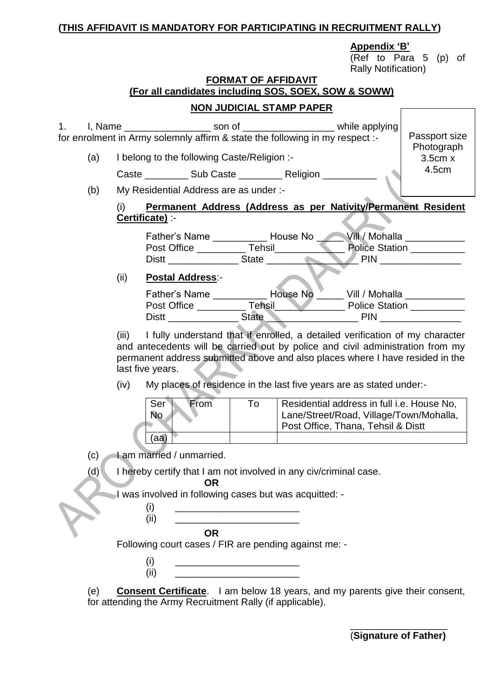## **(THIS AFFIDAVIT IS MANDATORY FOR PARTICIPATING IN RECRUITMENT RALLY)**

#### **Appendix 'B'**

(Ref to Para 5 (p) of Rally Notification)

 $\sqrt{ }$ 

# **FORMAT OF AFFIDAVIT**

| (For all candidates including SOS, SOEX, SOW & SOWW) |                                 |  |
|------------------------------------------------------|---------------------------------|--|
|                                                      | <b>NON JUDICIAL STAMP PAPER</b> |  |

| 1.  |                                        | I, Name ______________________ son of _______________________ while applying<br>for enrolment in Army solemnly affirm & state the following in my respect :-                                                                                                                                                                               |                                                                                                                       |                                                                                                                             | Passport size                    |
|-----|----------------------------------------|--------------------------------------------------------------------------------------------------------------------------------------------------------------------------------------------------------------------------------------------------------------------------------------------------------------------------------------------|-----------------------------------------------------------------------------------------------------------------------|-----------------------------------------------------------------------------------------------------------------------------|----------------------------------|
| (a) |                                        | I belong to the following Caste/Religion :-                                                                                                                                                                                                                                                                                                |                                                                                                                       |                                                                                                                             | Photograph<br>3.5cm x            |
|     |                                        | Caste ____________ Sub Caste _____________ Religion ___________                                                                                                                                                                                                                                                                            |                                                                                                                       |                                                                                                                             | 4.5cm                            |
| (b) | My Residential Address are as under :- |                                                                                                                                                                                                                                                                                                                                            |                                                                                                                       |                                                                                                                             |                                  |
|     | (i)                                    | Permanent Address (Address as per Nativity/Permanent Resident<br>Certificate) :-                                                                                                                                                                                                                                                           |                                                                                                                       |                                                                                                                             |                                  |
|     |                                        | Father's Name ______________ House No ______Vill / Mohalla _____ _______<br>Distt ____________________State _________                                                                                                                                                                                                                      |                                                                                                                       |                                                                                                                             | Police Station<br>$PIN$ $\qquad$ |
|     | (ii)                                   | <b>Postal Address:-</b>                                                                                                                                                                                                                                                                                                                    |                                                                                                                       |                                                                                                                             |                                  |
|     |                                        | Father's Name ____________ House No Vill / Mohalla __________                                                                                                                                                                                                                                                                              |                                                                                                                       |                                                                                                                             |                                  |
|     | (iii)<br>(iv)                          | I fully understand that if enrolled, a detailed verification of my character<br>and antecedents will be carried out by police and civil administration from my<br>permanent address submitted above and also places where I have resided in the<br>last five years.<br>My places of residence in the last five years are as stated under:- |                                                                                                                       |                                                                                                                             |                                  |
|     |                                        | Ser <sup>®</sup><br>From<br><b>No</b><br>(aa)                                                                                                                                                                                                                                                                                              | To                                                                                                                    | Residential address in full i.e. House No,<br>Lane/Street/Road, Village/Town/Mohalla,<br>Post Office, Thana, Tehsil & Distt |                                  |
| (c) |                                        | I am married / unmarried.                                                                                                                                                                                                                                                                                                                  |                                                                                                                       |                                                                                                                             |                                  |
| (d) |                                        | I hereby certify that I am not involved in any civ/criminal case.<br><b>OR</b>                                                                                                                                                                                                                                                             |                                                                                                                       |                                                                                                                             |                                  |
|     |                                        | I was involved in following cases but was acquitted: -<br>(i)<br>(ii)                                                                                                                                                                                                                                                                      | <u> 1989 - Johann Barn, mars ann an t-Amhain an t-Amhain an t-Amhain an t-Amhain an t-Amhain an t-Amhain an t-Amh</u> |                                                                                                                             |                                  |
|     |                                        | <b>OR</b><br>Following court cases / FIR are pending against me: -                                                                                                                                                                                                                                                                         |                                                                                                                       |                                                                                                                             |                                  |
|     |                                        | (i)<br>(ii)                                                                                                                                                                                                                                                                                                                                | <u> 1989 - Johann Barbara, martxa alemaniar a</u>                                                                     |                                                                                                                             |                                  |
| (e) |                                        | <b>Consent Certificate</b> . I am below 18 years, and my parents give their consent,<br>for attending the Army Recruitment Rally (if applicable).                                                                                                                                                                                          |                                                                                                                       |                                                                                                                             |                                  |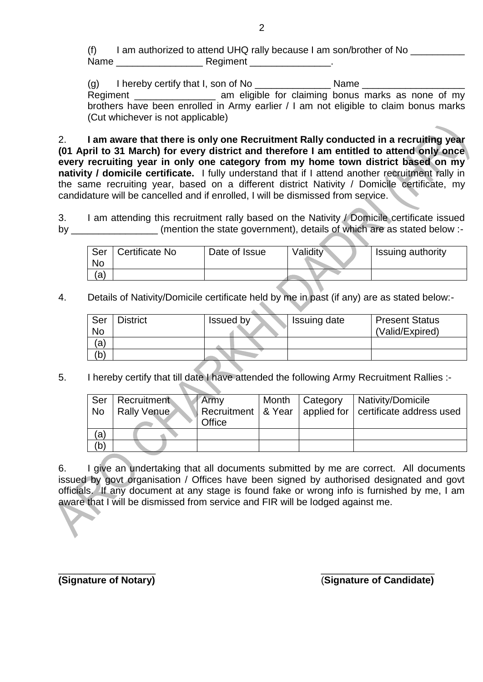(f) I am authorized to attend UHQ rally because I am son/brother of No \_\_\_\_\_\_\_\_\_\_ Name \_\_\_\_\_\_\_\_\_\_\_\_\_\_\_\_ Regiment \_\_\_\_\_\_\_\_\_\_\_\_\_\_\_.

(g) I hereby certify that I, son of No  $\blacksquare$  Name Regiment \_\_\_\_\_\_\_\_\_\_\_\_\_\_\_\_\_\_\_ am eligible for claiming bonus marks as none of my brothers have been enrolled in Army earlier / I am not eligible to claim bonus marks (Cut whichever is not applicable)

2. **I am aware that there is only one Recruitment Rally conducted in a recruiting year (01 April to 31 March) for every district and therefore I am entitled to attend only once every recruiting year in only one category from my home town district based on my nativity / domicile certificate.** I fully understand that if I attend another recruitment rally in the same recruiting year, based on a different district Nativity / Domicile certificate, my candidature will be cancelled and if enrolled, I will be dismissed from service.

3. I am attending this recruitment rally based on the Nativity / Domicile certificate issued by \_\_\_\_\_\_\_\_\_\_\_\_\_\_\_\_\_(mention the state government), details of which are as stated below :-

| Ser<br><b>No</b> | Certificate No | Date of Issue | Validity | Issuing authority |
|------------------|----------------|---------------|----------|-------------------|
| a)               |                |               |          |                   |

4. Details of Nativity/Domicile certificate held by me in past (if any) are as stated below:-

| Ser<br><b>No</b> | <b>District</b> | Issued by | Issuing date | <b>Present Status</b><br>(Valid/Expired) |
|------------------|-----------------|-----------|--------------|------------------------------------------|
| (a)              |                 |           |              |                                          |
| (b)              |                 |           |              |                                          |

5. I hereby certify that till date I have attended the following Army Recruitment Rallies :-

| Ser       | Recruitment        | <b>Army</b> | Month   Category | Nativity/Domicile                                             |
|-----------|--------------------|-------------|------------------|---------------------------------------------------------------|
| <b>No</b> | <b>Rally Venue</b> |             |                  | Recruitment   & Year   applied for   certificate address used |
|           |                    | Office      |                  |                                                               |
| (a)       |                    |             |                  |                                                               |
| (b)       |                    |             |                  |                                                               |

6. I give an undertaking that all documents submitted by me are correct. All documents issued by govt organisation / Offices have been signed by authorised designated and govt officials. If any document at any stage is found fake or wrong info is furnished by me, I am aware that I will be dismissed from service and FIR will be lodged against me.

 $\frac{1}{2}$  ,  $\frac{1}{2}$  ,  $\frac{1}{2}$  ,  $\frac{1}{2}$  ,  $\frac{1}{2}$  ,  $\frac{1}{2}$  ,  $\frac{1}{2}$  ,  $\frac{1}{2}$  ,  $\frac{1}{2}$  ,  $\frac{1}{2}$  ,  $\frac{1}{2}$  ,  $\frac{1}{2}$  ,  $\frac{1}{2}$  ,  $\frac{1}{2}$  ,  $\frac{1}{2}$  ,  $\frac{1}{2}$  ,  $\frac{1}{2}$  ,  $\frac{1}{2}$  ,  $\frac{1$ 

**(Signature of Notary)** (**Signature of Candidate)**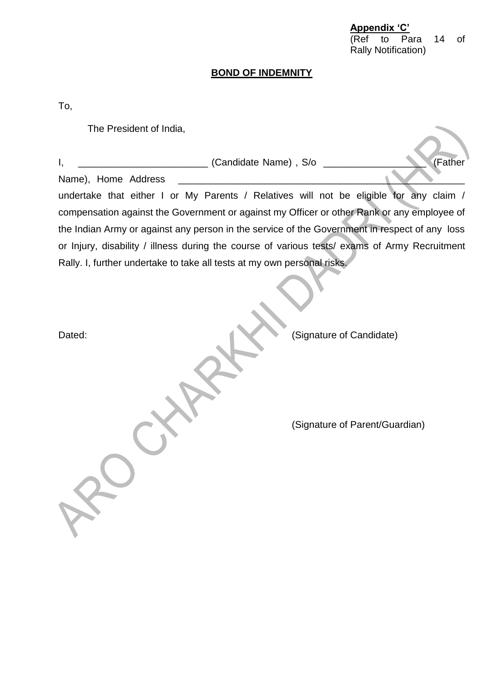| Appendix 'C' |                            |  |
|--------------|----------------------------|--|
|              | (Ref to Para 14 of         |  |
|              | <b>Rally Notification)</b> |  |

# **BOND OF INDEMNITY**

To,

| The President of India,                                                                       |                                |
|-----------------------------------------------------------------------------------------------|--------------------------------|
| ______________________ (Candidate Name), S/o ______<br>Ι,<br>Name), Home Address              | (Father                        |
| undertake that either I or My Parents / Relatives will not be eligible for any claim /        |                                |
| compensation against the Government or against my Officer or other Rank or any employee of    |                                |
| the Indian Army or against any person in the service of the Government in respect of any loss |                                |
| or Injury, disability / illness during the course of various tests/ exams of Army Recruitment |                                |
| Rally. I, further undertake to take all tests at my own personal risks.                       |                                |
|                                                                                               |                                |
| Dated:                                                                                        | (Signature of Candidate)       |
|                                                                                               | (Signature of Parent/Guardian) |
| $x^2$                                                                                         |                                |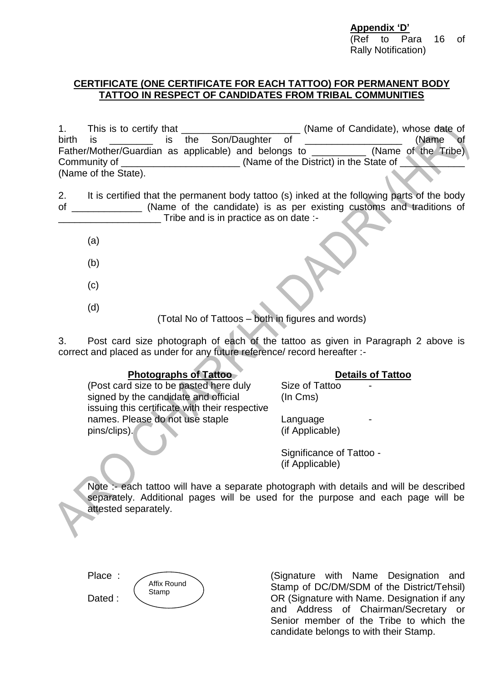**Appendix 'D'** (Ref to Para 16 of Rally Notification)

#### **CERTIFICATE (ONE CERTIFICATE FOR EACH TATTOO) FOR PERMANENT BODY TATTOO IN RESPECT OF CANDIDATES FROM TRIBAL COMMUNITIES**

1. This is to certify that This is to certify that  $\blacksquare$  (Name of Candidate), whose date of birth is the Son/Daughter of the Song is the Song and the of the of the of the original entries of the original Father/Mother/Guardian as applicable) and belongs to \_\_\_\_\_\_\_\_\_\_ (Name of the Tribe) Community of \_\_\_\_\_\_\_\_\_\_\_\_\_\_\_\_\_\_\_\_\_\_\_(Name of the District) in the State of (Name of the State).

2. It is certified that the permanent body tattoo (s) inked at the following parts of the body of \_\_\_\_\_\_\_\_\_\_\_\_\_ (Name of the candidate) is as per existing customs and traditions of Tribe and is in practice as on date :-

- (a)
- (b)
- (c)
- (d)

(Total No of Tattoos – both in figures and words)

3. Post card size photograph of each of the tattoo as given in Paragraph 2 above is correct and placed as under for any future reference/ record hereafter :-

#### **Photographs of Tattoo**

(Post card size to be pasted here duly signed by the candidate and official issuing this certificate with their respective names. Please do not use staple pins/clips).

Size of Tattoo (In Cms)

Language (if Applicable)

Significance of Tattoo - (if Applicable)

Note :- each tattoo will have a separate photograph with details and will be described separately. Additional pages will be used for the purpose and each page will be attested separately.

Place :

Dated :



(Signature with Name Designation and Stamp of DC/DM/SDM of the District/Tehsil) OR (Signature with Name. Designation if any and Address of Chairman/Secretary or Senior member of the Tribe to which the candidate belongs to with their Stamp.